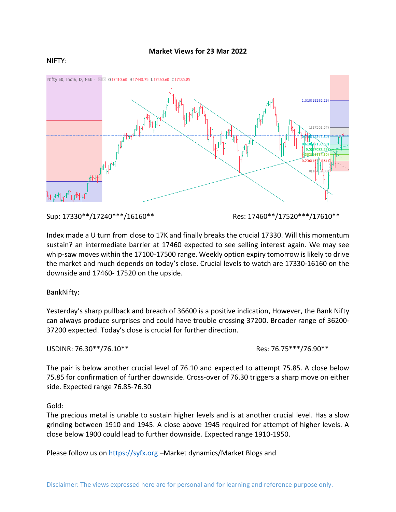## NIFTY:



Sup: 17330\*\*/17240\*\*\*/16160\*\* Res: 17460\*\*/17520\*\*\*/17610\*\*

Index made a U turn from close to 17K and finally breaks the crucial 17330. Will this momentum sustain? an intermediate barrier at 17460 expected to see selling interest again. We may see whip-saw moves within the 17100-17500 range. Weekly option expiry tomorrow is likely to drive the market and much depends on today's close. Crucial levels to watch are 17330-16160 on the downside and 17460- 17520 on the upside.

BankNifty:

Yesterday's sharp pullback and breach of 36600 is a positive indication, However, the Bank Nifty can always produce surprises and could have trouble crossing 37200. Broader range of 36200- 37200 expected. Today's close is crucial for further direction.

USDINR: 76.30\*\*/76.10\*\* Res: 76.75\*\*\*/76.90\*\*

The pair is below another crucial level of 76.10 and expected to attempt 75.85. A close below 75.85 for confirmation of further downside. Cross-over of 76.30 triggers a sharp move on either side. Expected range 76.85-76.30

Gold:

The precious metal is unable to sustain higher levels and is at another crucial level. Has a slow grinding between 1910 and 1945. A close above 1945 required for attempt of higher levels. A close below 1900 could lead to further downside. Expected range 1910-1950.

Please follow us on https://syfx.org –Market dynamics/Market Blogs and